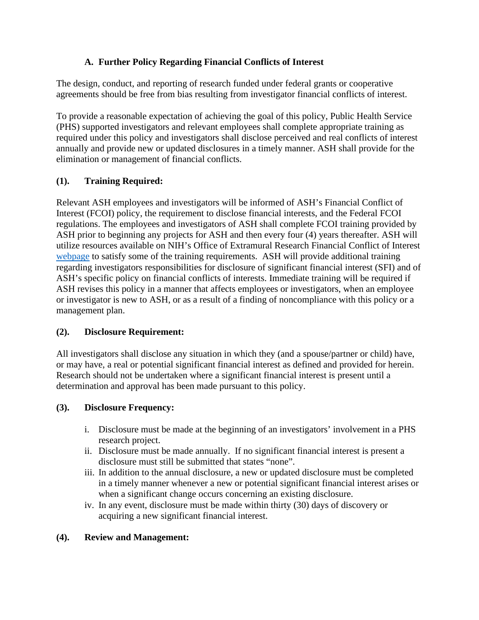# **A. Further Policy Regarding Financial Conflicts of Interest**

The design, conduct, and reporting of research funded under federal grants or cooperative agreements should be free from bias resulting from investigator financial conflicts of interest.

To provide a reasonable expectation of achieving the goal of this policy, Public Health Service (PHS) supported investigators and relevant employees shall complete appropriate training as required under this policy and investigators shall disclose perceived and real conflicts of interest annually and provide new or updated disclosures in a timely manner. ASH shall provide for the elimination or management of financial conflicts.

# **(1). Training Required:**

Relevant ASH employees and investigators will be informed of ASH's Financial Conflict of Interest (FCOI) policy, the requirement to disclose financial interests, and the Federal FCOI regulations. The employees and investigators of ASH shall complete FCOI training provided by ASH prior to beginning any projects for ASH and then every four (4) years thereafter. ASH will utilize resources available on NIH's Office of Extramural Research Financial Conflict of Interest [webpage](https://grants.nih.gov/grants/policy/coi/index.htm) to satisfy some of the training requirements. ASH will provide additional training regarding investigators responsibilities for disclosure of significant financial interest (SFI) and of ASH's specific policy on financial conflicts of interests. Immediate training will be required if ASH revises this policy in a manner that affects employees or investigators, when an employee or investigator is new to ASH, or as a result of a finding of noncompliance with this policy or a management plan.

# **(2). Disclosure Requirement:**

All investigators shall disclose any situation in which they (and a spouse/partner or child) have, or may have, a real or potential significant financial interest as defined and provided for herein. Research should not be undertaken where a significant financial interest is present until a determination and approval has been made pursuant to this policy.

# **(3). Disclosure Frequency:**

- i. Disclosure must be made at the beginning of an investigators' involvement in a PHS research project.
- ii. Disclosure must be made annually. If no significant financial interest is present a disclosure must still be submitted that states "none".
- iii. In addition to the annual disclosure, a new or updated disclosure must be completed in a timely manner whenever a new or potential significant financial interest arises or when a significant change occurs concerning an existing disclosure.
- iv. In any event, disclosure must be made within thirty (30) days of discovery or acquiring a new significant financial interest.

# **(4). Review and Management:**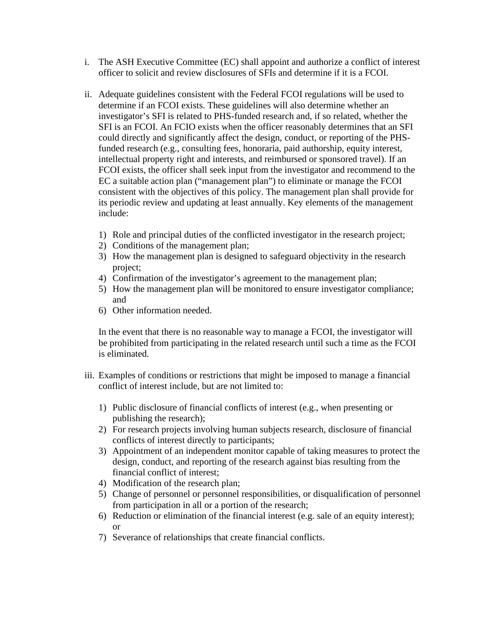- i. The ASH Executive Committee (EC) shall appoint and authorize a conflict of interest officer to solicit and review disclosures of SFIs and determine if it is a FCOI.
- ii. Adequate guidelines consistent with the Federal FCOI regulations will be used to determine if an FCOI exists. These guidelines will also determine whether an investigator's SFI is related to PHS-funded research and, if so related, whether the SFI is an FCOI. An FCIO exists when the officer reasonably determines that an SFI could directly and significantly affect the design, conduct, or reporting of the PHSfunded research (e.g., consulting fees, honoraria, paid authorship, equity interest, intellectual property right and interests, and reimbursed or sponsored travel). If an FCOI exists, the officer shall seek input from the investigator and recommend to the EC a suitable action plan ("management plan") to eliminate or manage the FCOI consistent with the objectives of this policy. The management plan shall provide for its periodic review and updating at least annually. Key elements of the management include:
	- 1) Role and principal duties of the conflicted investigator in the research project;
	- 2) Conditions of the management plan;
	- 3) How the management plan is designed to safeguard objectivity in the research project;
	- 4) Confirmation of the investigator's agreement to the management plan;
	- 5) How the management plan will be monitored to ensure investigator compliance; and
	- 6) Other information needed.

In the event that there is no reasonable way to manage a FCOI, the investigator will be prohibited from participating in the related research until such a time as the FCOI is eliminated.

- iii. Examples of conditions or restrictions that might be imposed to manage a financial conflict of interest include, but are not limited to:
	- 1) Public disclosure of financial conflicts of interest (e.g., when presenting or publishing the research);
	- 2) For research projects involving human subjects research, disclosure of financial conflicts of interest directly to participants;
	- 3) Appointment of an independent monitor capable of taking measures to protect the design, conduct, and reporting of the research against bias resulting from the financial conflict of interest;
	- 4) Modification of the research plan;
	- 5) Change of personnel or personnel responsibilities, or disqualification of personnel from participation in all or a portion of the research;
	- 6) Reduction or elimination of the financial interest (e.g. sale of an equity interest); or
	- 7) Severance of relationships that create financial conflicts.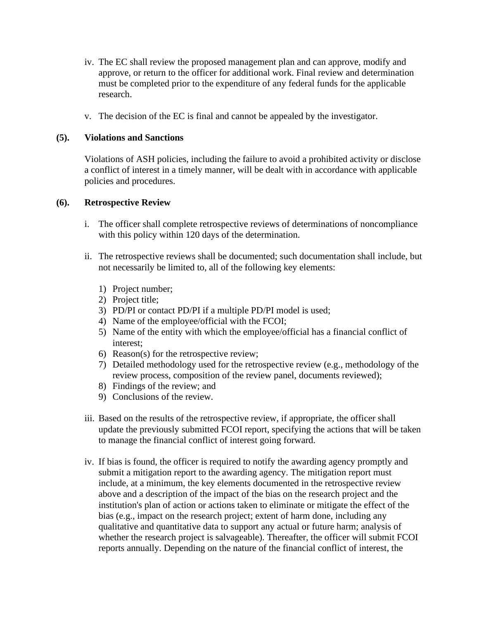- iv. The EC shall review the proposed management plan and can approve, modify and approve, or return to the officer for additional work. Final review and determination must be completed prior to the expenditure of any federal funds for the applicable research.
- v. The decision of the EC is final and cannot be appealed by the investigator.

### **(5). Violations and Sanctions**

Violations of ASH policies, including the failure to avoid a prohibited activity or disclose a conflict of interest in a timely manner, will be dealt with in accordance with applicable policies and procedures.

### **(6). Retrospective Review**

- i. The officer shall complete retrospective reviews of determinations of noncompliance with this policy within 120 days of the determination.
- ii. The retrospective reviews shall be documented; such documentation shall include, but not necessarily be limited to, all of the following key elements:
	- 1) Project number;
	- 2) Project title;
	- 3) PD/PI or contact PD/PI if a multiple PD/PI model is used;
	- 4) Name of the employee/official with the FCOI;
	- 5) Name of the entity with which the employee/official has a financial conflict of interest;
	- 6) Reason(s) for the retrospective review;
	- 7) Detailed methodology used for the retrospective review (e.g., methodology of the review process, composition of the review panel, documents reviewed);
	- 8) Findings of the review; and
	- 9) Conclusions of the review.
- iii. Based on the results of the retrospective review, if appropriate, the officer shall update the previously submitted FCOI report, specifying the actions that will be taken to manage the financial conflict of interest going forward.
- iv. If bias is found, the officer is required to notify the awarding agency promptly and submit a mitigation report to the awarding agency. The mitigation report must include, at a minimum, the key elements documented in the retrospective review above and a description of the impact of the bias on the research project and the institution's plan of action or actions taken to eliminate or mitigate the effect of the bias (e.g., impact on the research project; extent of harm done, including any qualitative and quantitative data to support any actual or future harm; analysis of whether the research project is salvageable). Thereafter, the officer will submit FCOI reports annually. Depending on the nature of the financial conflict of interest, the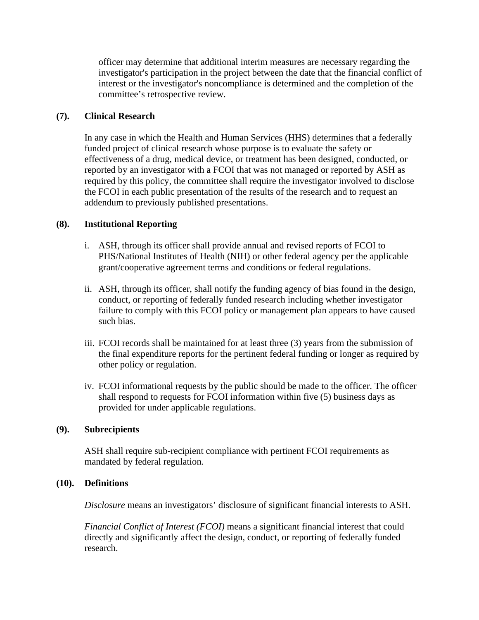officer may determine that additional interim measures are necessary regarding the investigator's participation in the project between the date that the financial conflict of interest or the investigator's noncompliance is determined and the completion of the committee's retrospective review.

### **(7). Clinical Research**

In any case in which the Health and Human Services (HHS) determines that a federally funded project of clinical research whose purpose is to evaluate the safety or effectiveness of a drug, medical device, or treatment has been designed, conducted, or reported by an investigator with a FCOI that was not managed or reported by ASH as required by this policy, the committee shall require the investigator involved to disclose the FCOI in each public presentation of the results of the research and to request an addendum to previously published presentations.

### **(8). Institutional Reporting**

- i. ASH, through its officer shall provide annual and revised reports of FCOI to PHS/National Institutes of Health (NIH) or other federal agency per the applicable grant/cooperative agreement terms and conditions or federal regulations.
- ii. ASH, through its officer, shall notify the funding agency of bias found in the design, conduct, or reporting of federally funded research including whether investigator failure to comply with this FCOI policy or management plan appears to have caused such bias.
- iii. FCOI records shall be maintained for at least three (3) years from the submission of the final expenditure reports for the pertinent federal funding or longer as required by other policy or regulation.
- iv. FCOI informational requests by the public should be made to the officer. The officer shall respond to requests for FCOI information within five (5) business days as provided for under applicable regulations.

### **(9). Subrecipients**

ASH shall require sub-recipient compliance with pertinent FCOI requirements as mandated by federal regulation.

### **(10). Definitions**

*Disclosure* means an investigators' disclosure of significant financial interests to ASH.

*Financial Conflict of Interest (FCOI)* means a significant financial interest that could directly and significantly affect the design, conduct, or reporting of federally funded research.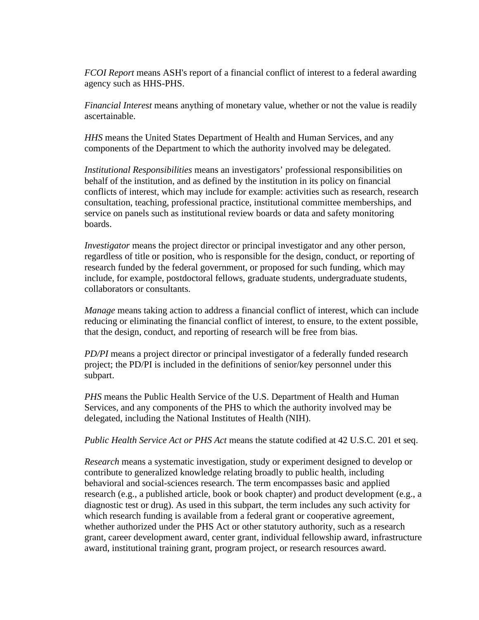*FCOI Report* means ASH's report of a financial conflict of interest to a federal awarding agency such as HHS-PHS.

*Financial Interest* means anything of monetary value, whether or not the value is readily ascertainable.

*HHS* means the United States Department of Health and Human Services, and any components of the Department to which the authority involved may be delegated.

*Institutional Responsibilities* means an investigators' professional responsibilities on behalf of the institution, and as defined by the institution in its policy on financial conflicts of interest, which may include for example: activities such as research, research consultation, teaching, professional practice, institutional committee memberships, and service on panels such as institutional review boards or data and safety monitoring boards.

*Investigator* means the project director or principal investigator and any other person, regardless of title or position, who is responsible for the design, conduct, or reporting of research funded by the federal government, or proposed for such funding, which may include, for example, postdoctoral fellows, graduate students, undergraduate students, collaborators or consultants.

*Manage* means taking action to address a financial conflict of interest, which can include reducing or eliminating the financial conflict of interest, to ensure, to the extent possible, that the design, conduct, and reporting of research will be free from bias.

*PD/PI* means a project director or principal investigator of a federally funded research project; the PD/PI is included in the definitions of senior/key personnel under this subpart.

*PHS* means the Public Health Service of the U.S. Department of Health and Human Services, and any components of the PHS to which the authority involved may be delegated, including the National Institutes of Health (NIH).

*Public Health Service Act or PHS Act* means the statute codified at 42 U.S.C. 201 et seq.

*Research* means a systematic investigation, study or experiment designed to develop or contribute to generalized knowledge relating broadly to public health, including behavioral and social-sciences research. The term encompasses basic and applied research (e.g., a published article, book or book chapter) and product development (e.g., a diagnostic test or drug). As used in this subpart, the term includes any such activity for which research funding is available from a federal grant or cooperative agreement, whether authorized under the PHS Act or other statutory authority, such as a research grant, career development award, center grant, individual fellowship award, infrastructure award, institutional training grant, program project, or research resources award.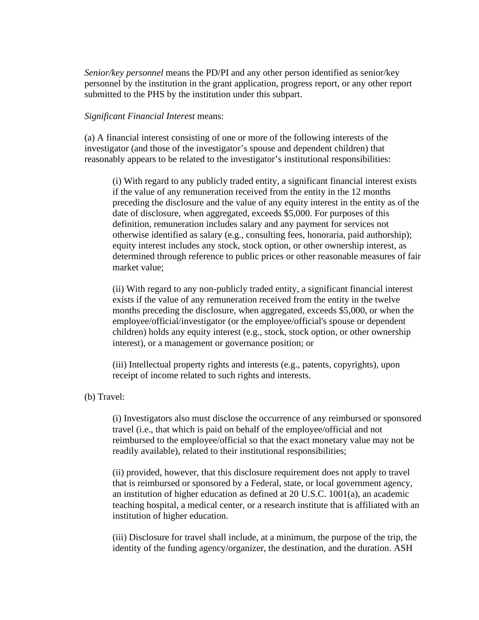*Senior/key personnel* means the PD/PI and any other person identified as senior/key personnel by the institution in the grant application, progress report, or any other report submitted to the PHS by the institution under this subpart.

#### *Significant Financial Interest* means:

(a) A financial interest consisting of one or more of the following interests of the investigator (and those of the investigator's spouse and dependent children) that reasonably appears to be related to the investigator's institutional responsibilities:

(i) With regard to any publicly traded entity, a significant financial interest exists if the value of any remuneration received from the entity in the 12 months preceding the disclosure and the value of any equity interest in the entity as of the date of disclosure, when aggregated, exceeds \$5,000. For purposes of this definition, remuneration includes salary and any payment for services not otherwise identified as salary (e.g., consulting fees, honoraria, paid authorship); equity interest includes any stock, stock option, or other ownership interest, as determined through reference to public prices or other reasonable measures of fair market value;

(ii) With regard to any non-publicly traded entity, a significant financial interest exists if the value of any remuneration received from the entity in the twelve months preceding the disclosure, when aggregated, exceeds \$5,000, or when the employee/official/investigator (or the employee/official's spouse or dependent children) holds any equity interest (e.g., stock, stock option, or other ownership interest), or a management or governance position; or

(iii) Intellectual property rights and interests (e.g., patents, copyrights), upon receipt of income related to such rights and interests.

(b) Travel:

(i) Investigators also must disclose the occurrence of any reimbursed or sponsored travel (i.e., that which is paid on behalf of the employee/official and not reimbursed to the employee/official so that the exact monetary value may not be readily available), related to their institutional responsibilities;

(ii) provided, however, that this disclosure requirement does not apply to travel that is reimbursed or sponsored by a Federal, state, or local government agency, an institution of higher education as defined at 20 U.S.C. 1001(a), an academic teaching hospital, a medical center, or a research institute that is affiliated with an institution of higher education.

(iii) Disclosure for travel shall include, at a minimum, the purpose of the trip, the identity of the funding agency/organizer, the destination, and the duration. ASH